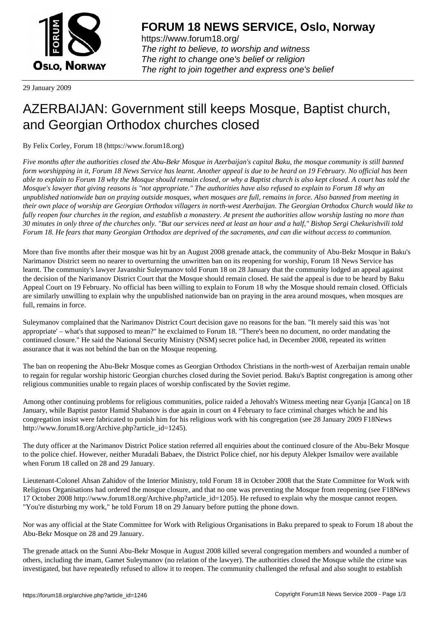

https://www.forum18.org/ The right to believe, to worship and witness The right to change one's belief or religion [The right to join together a](https://www.forum18.org/)nd express one's belief

29 January 2009

## [AZERBAIJAN: G](https://www.forum18.org)overnment still keeps Mosque, Baptist church, and Georgian Orthodox churches closed

By Felix Corley, Forum 18 (https://www.forum18.org)

*Five months after the authorities closed the Abu-Bekr Mosque in Azerbaijan's capital Baku, the mosque community is still banned form worshipping in it, Forum 18 News Service has learnt. Another appeal is due to be heard on 19 February. No official has been able to explain to Forum 18 why the Mosque should remain closed, or why a Baptist church is also kept closed. A court has told the Mosque's lawyer that giving reasons is "not appropriate." The authorities have also refused to explain to Forum 18 why an unpublished nationwide ban on praying outside mosques, when mosques are full, remains in force. Also banned from meeting in their own place of worship are Georgian Orthodox villagers in north-west Azerbaijan. The Georgian Orthodox Church would like to fully reopen four churches in the region, and establish a monastery. At present the authorities allow worship lasting no more than 30 minutes in only three of the churches only. "But our services need at least an hour and a half," Bishop Sergi Chekurishvili told Forum 18. He fears that many Georgian Orthodox are deprived of the sacraments, and can die without access to communion.*

More than five months after their mosque was hit by an August 2008 grenade attack, the community of Abu-Bekr Mosque in Baku's Narimanov District seem no nearer to overturning the unwritten ban on its reopening for worship, Forum 18 News Service has learnt. The community's lawyer Javanshir Suleymanov told Forum 18 on 28 January that the community lodged an appeal against the decision of the Narimanov District Court that the Mosque should remain closed. He said the appeal is due to be heard by Baku Appeal Court on 19 February. No official has been willing to explain to Forum 18 why the Mosque should remain closed. Officials are similarly unwilling to explain why the unpublished nationwide ban on praying in the area around mosques, when mosques are full, remains in force.

Suleymanov complained that the Narimanov District Court decision gave no reasons for the ban. "It merely said this was 'not appropriate' – what's that supposed to mean?" he exclaimed to Forum 18. "There's been no document, no order mandating the continued closure." He said the National Security Ministry (NSM) secret police had, in December 2008, repeated its written assurance that it was not behind the ban on the Mosque reopening.

The ban on reopening the Abu-Bekr Mosque comes as Georgian Orthodox Christians in the north-west of Azerbaijan remain unable to regain for regular worship historic Georgian churches closed during the Soviet period. Baku's Baptist congregation is among other religious communities unable to regain places of worship confiscated by the Soviet regime.

Among other continuing problems for religious communities, police raided a Jehovah's Witness meeting near Gyanja [Ganca] on 18 January, while Baptist pastor Hamid Shabanov is due again in court on 4 February to face criminal charges which he and his congregation insist were fabricated to punish him for his religious work with his congregation (see 28 January 2009 F18News http://www.forum18.org/Archive.php?article\_id=1245).

The duty officer at the Narimanov District Police station referred all enquiries about the continued closure of the Abu-Bekr Mosque to the police chief. However, neither Muradali Babaev, the District Police chief, nor his deputy Alekper Ismailov were available when Forum 18 called on 28 and 29 January.

Lieutenant-Colonel Ahsan Zahidov of the Interior Ministry, told Forum 18 in October 2008 that the State Committee for Work with Religious Organisations had ordered the mosque closure, and that no one was preventing the Mosque from reopening (see F18News 17 October 2008 http://www.forum18.org/Archive.php?article\_id=1205). He refused to explain why the mosque cannot reopen. "You're disturbing my work," he told Forum 18 on 29 January before putting the phone down.

Nor was any official at the State Committee for Work with Religious Organisations in Baku prepared to speak to Forum 18 about the Abu-Bekr Mosque on 28 and 29 January.

The grenade attack on the Sunni Abu-Bekr Mosque in August 2008 killed several congregation members and wounded a number of others, including the imam, Gamet Suleymanov (no relation of the lawyer). The authorities closed the Mosque while the crime was investigated, but have repeatedly refused to allow it to reopen. The community challenged the refusal and also sought to establish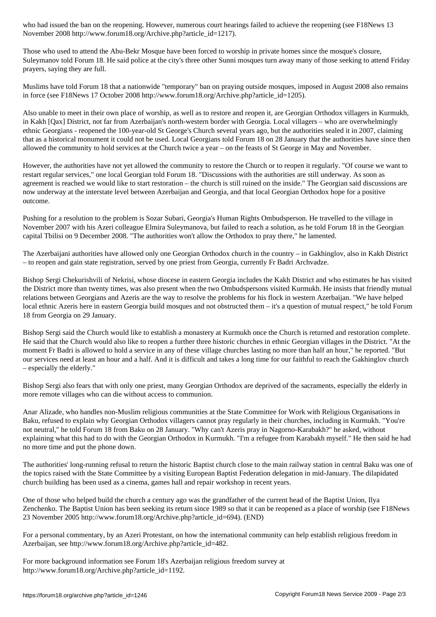$N$  is a contract  $\omega$  in the  $\omega$  -forumation  $\omega$ 

Those who used to attend the Abu-Bekr Mosque have been forced to worship in private homes since the mosque's closure, Suleymanov told Forum 18. He said police at the city's three other Sunni mosques turn away many of those seeking to attend Friday prayers, saying they are full.

Muslims have told Forum 18 that a nationwide "temporary" ban on praying outside mosques, imposed in August 2008 also remains in force (see F18News 17 October 2008 http://www.forum18.org/Archive.php?article\_id=1205).

Also unable to meet in their own place of worship, as well as to restore and reopen it, are Georgian Orthodox villagers in Kurmukh, in Kakh [Qax] District, not far from Azerbaijan's north-western border with Georgia. Local villagers – who are overwhelmingly ethnic Georgians - reopened the 100-year-old St George's Church several years ago, but the authorities sealed it in 2007, claiming that as a historical monument it could not be used. Local Georgians told Forum 18 on 28 January that the authorities have since then allowed the community to hold services at the Church twice a year – on the feasts of St George in May and November.

However, the authorities have not yet allowed the community to restore the Church or to reopen it regularly. "Of course we want to restart regular services," one local Georgian told Forum 18. "Discussions with the authorities are still underway. As soon as agreement is reached we would like to start restoration – the church is still ruined on the inside." The Georgian said discussions are now underway at the interstate level between Azerbaijan and Georgia, and that local Georgian Orthodox hope for a positive outcome.

Pushing for a resolution to the problem is Sozar Subari, Georgia's Human Rights Ombudsperson. He travelled to the village in November 2007 with his Azeri colleague Elmira Suleymanova, but failed to reach a solution, as he told Forum 18 in the Georgian capital Tbilisi on 9 December 2008. "The authorities won't allow the Orthodox to pray there," he lamented.

The Azerbaijani authorities have allowed only one Georgian Orthodox church in the country – in Gakhinglov, also in Kakh District – to reopen and gain state registration, served by one priest from Georgia, currently Fr Badri Archvadze.

Bishop Sergi Chekurishvili of Nekrisi, whose diocese in eastern Georgia includes the Kakh District and who estimates he has visited the District more than twenty times, was also present when the two Ombudspersons visited Kurmukh. He insists that friendly mutual relations between Georgians and Azeris are the way to resolve the problems for his flock in western Azerbaijan. "We have helped local ethnic Azeris here in eastern Georgia build mosques and not obstructed them – it's a question of mutual respect," he told Forum 18 from Georgia on 29 January.

Bishop Sergi said the Church would like to establish a monastery at Kurmukh once the Church is returned and restoration complete. He said that the Church would also like to reopen a further three historic churches in ethnic Georgian villages in the District. "At the moment Fr Badri is allowed to hold a service in any of these village churches lasting no more than half an hour," he reported. "But our services need at least an hour and a half. And it is difficult and takes a long time for our faithful to reach the Gakhinglov church – especially the elderly."

Bishop Sergi also fears that with only one priest, many Georgian Orthodox are deprived of the sacraments, especially the elderly in more remote villages who can die without access to communion.

Anar Alizade, who handles non-Muslim religious communities at the State Committee for Work with Religious Organisations in Baku, refused to explain why Georgian Orthodox villagers cannot pray regularly in their churches, including in Kurmukh. "You're not neutral," he told Forum 18 from Baku on 28 January. "Why can't Azeris pray in Nagorno-Karabakh?" he asked, without explaining what this had to do with the Georgian Orthodox in Kurmukh. "I'm a refugee from Karabakh myself." He then said he had no more time and put the phone down.

The authorities' long-running refusal to return the historic Baptist church close to the main railway station in central Baku was one of the topics raised with the State Committee by a visiting European Baptist Federation delegation in mid-January. The dilapidated church building has been used as a cinema, games hall and repair workshop in recent years.

One of those who helped build the church a century ago was the grandfather of the current head of the Baptist Union, Ilya Zenchenko. The Baptist Union has been seeking its return since 1989 so that it can be reopened as a place of worship (see F18News 23 November 2005 http://www.forum18.org/Archive.php?article\_id=694). (END)

For a personal commentary, by an Azeri Protestant, on how the international community can help establish religious freedom in Azerbaijan, see http://www.forum18.org/Archive.php?article\_id=482.

For more background information see Forum 18's Azerbaijan religious freedom survey at http://www.forum18.org/Archive.php?article\_id=1192.